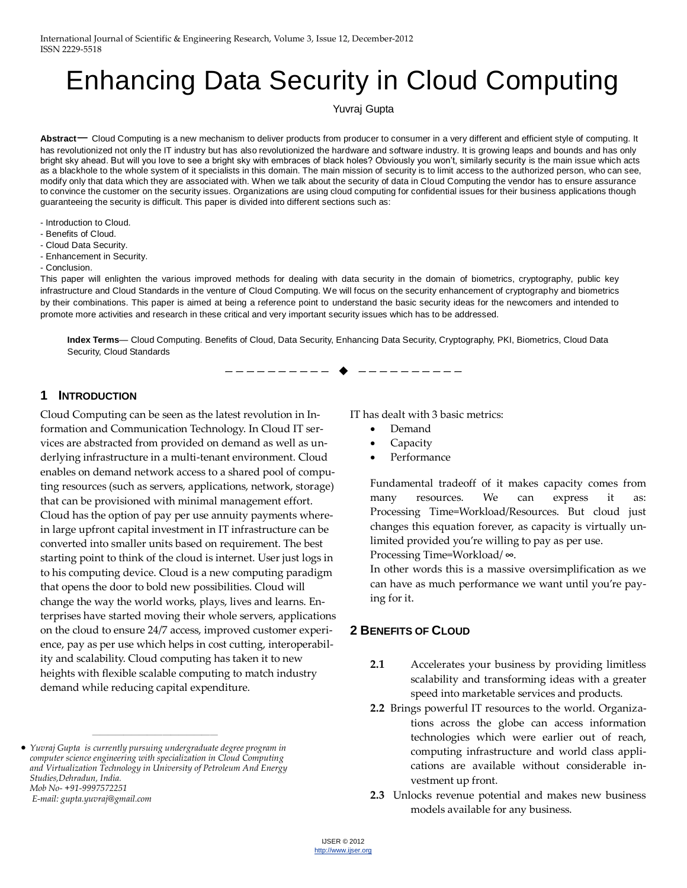# Enhancing Data Security in Cloud Computing

Yuvraj Gupta

**Abstract**— Cloud Computing is a new mechanism to deliver products from producer to consumer in a very different and efficient style of computing. It has revolutionized not only the IT industry but has also revolutionized the hardware and software industry. It is growing leaps and bounds and has only bright sky ahead. But will you love to see a bright sky with embraces of black holes? Obviously you won't, similarly security is the main issue which acts as a blackhole to the whole system of it specialists in this domain. The main mission of security is to limit access to the authorized person, who can see, modify only that data which they are associated with. When we talk about the security of data in Cloud Computing the vendor has to ensure assurance to convince the customer on the security issues. Organizations are using cloud computing for confidential issues for their business applications though guaranteeing the security is difficult. This paper is divided into different sections such as:

- Introduction to Cloud.
- Benefits of Cloud.
- Cloud Data Security.
- Enhancement in Security.
- Conclusion.

This paper will enlighten the various improved methods for dealing with data security in the domain of biometrics, cryptography, public key infrastructure and Cloud Standards in the venture of Cloud Computing. We will focus on the security enhancement of cryptography and biometrics by their combinations. This paper is aimed at being a reference point to understand the basic security ideas for the newcomers and intended to promote more activities and research in these critical and very important security issues which has to be addressed.

**Index Terms**— Cloud Computing. Benefits of Cloud, Data Security, Enhancing Data Security, Cryptography, PKI, Biometrics, Cloud Data Security, Cloud Standards

—————————— ——————————

#### **1 INTRODUCTION**

Cloud Computing can be seen as the latest revolution in Information and Communication Technology. In Cloud IT services are abstracted from provided on demand as well as underlying infrastructure in a multi-tenant environment. Cloud enables on demand network access to a shared pool of computing resources (such as servers, applications, network, storage) that can be provisioned with minimal management effort. Cloud has the option of pay per use annuity payments wherein large upfront capital investment in IT infrastructure can be converted into smaller units based on requirement. The best starting point to think of the cloud is internet. User just logs in to his computing device. Cloud is a new computing paradigm that opens the door to bold new possibilities. Cloud will change the way the world works, plays, lives and learns. Enterprises have started moving their whole servers, applications on the cloud to ensure 24/7 access, improved customer experience, pay as per use which helps in cost cutting, interoperability and scalability. Cloud computing has taken it to new heights with flexible scalable computing to match industry demand while reducing capital expenditure.

————————————————

IT has dealt with 3 basic metrics:

- Demand
- Capacity
- Performance

Fundamental tradeoff of it makes capacity comes from many resources. We can express it as: Processing Time=Workload/Resources. But cloud just changes this equation forever, as capacity is virtually unlimited provided you're willing to pay as per use.

Processing Time=Workload/ **∞**.

In other words this is a massive oversimplification as we can have as much performance we want until you're paying for it.

#### **2 BENEFITS OF CLOUD**

- **2.1** Accelerates your business by providing limitless scalability and transforming ideas with a greater speed into marketable services and products.
- **2.2** Brings powerful IT resources to the world. Organizations across the globe can access information technologies which were earlier out of reach, computing infrastructure and world class applications are available without considerable investment up front.
- **2.3** Unlocks revenue potential and makes new business models available for any business.

*Yuvraj Gupta is currently pursuing undergraduate degree program in computer science engineering with specialization in Cloud Computing and Virtualization Technology in University of Petroleum And Energy Studies,Dehradun, India. Mob No- +91-9997572251 E-mail: gupta.yuvraj@gmail.com*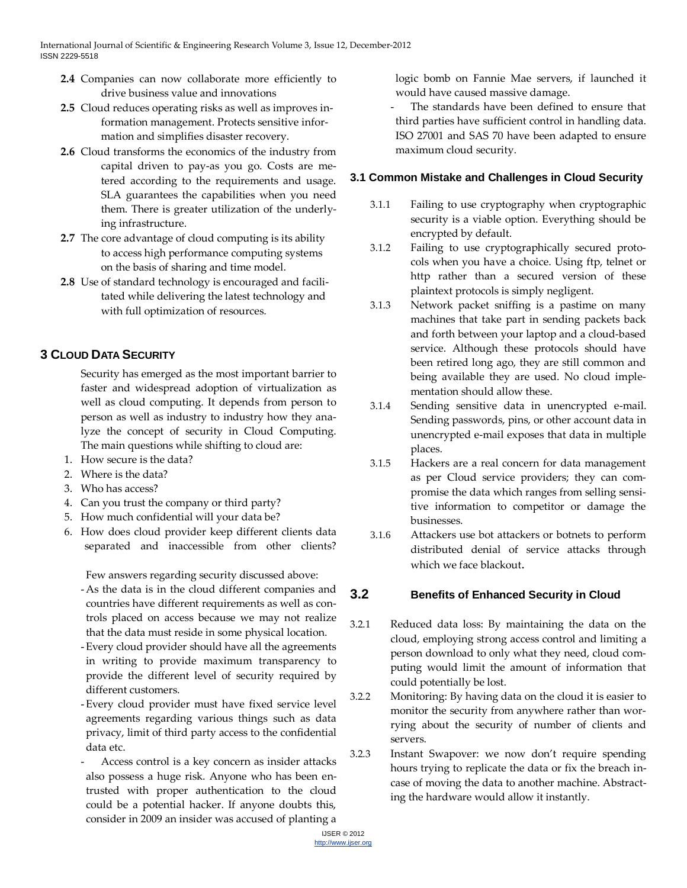- **2.4** Companies can now collaborate more efficiently to drive business value and innovations
- **2.5** Cloud reduces operating risks as well as improves information management. Protects sensitive information and simplifies disaster recovery.
- **2.6** Cloud transforms the economics of the industry from capital driven to pay-as you go. Costs are metered according to the requirements and usage. SLA guarantees the capabilities when you need them. There is greater utilization of the underlying infrastructure.
- **2.7** The core advantage of cloud computing is its ability to access high performance computing systems on the basis of sharing and time model.
- **2.8** Use of standard technology is encouraged and facilitated while delivering the latest technology and with full optimization of resources.

## **3 CLOUD DATA SECURITY**

Security has emerged as the most important barrier to faster and widespread adoption of virtualization as well as cloud computing. It depends from person to person as well as industry to industry how they analyze the concept of security in Cloud Computing. The main questions while shifting to cloud are:

- 1. How secure is the data?
- 2. Where is the data?
- 3. Who has access?
- 4. Can you trust the company or third party?
- 5. How much confidential will your data be?
- 6. How does cloud provider keep different clients data separated and inaccessible from other clients?

Few answers regarding security discussed above:

- -As the data is in the cloud different companies and countries have different requirements as well as controls placed on access because we may not realize that the data must reside in some physical location.
- -Every cloud provider should have all the agreements in writing to provide maximum transparency to provide the different level of security required by different customers.
- -Every cloud provider must have fixed service level agreements regarding various things such as data privacy, limit of third party access to the confidential data etc.
- Access control is a key concern as insider attacks also possess a huge risk. Anyone who has been entrusted with proper authentication to the cloud could be a potential hacker. If anyone doubts this, consider in 2009 an insider was accused of planting a

logic bomb on Fannie Mae servers, if launched it would have caused massive damage.

The standards have been defined to ensure that third parties have sufficient control in handling data. ISO 27001 and SAS 70 have been adapted to ensure maximum cloud security.

## **3.1 Common Mistake and Challenges in Cloud Security**

- 3.1.1 Failing to use cryptography when cryptographic security is a viable option. Everything should be encrypted by default.
- 3.1.2 Failing to use cryptographically secured protocols when you have a choice. Using ftp, telnet or http rather than a secured version of these plaintext protocols is simply negligent.
- 3.1.3 Network packet sniffing is a pastime on many machines that take part in sending packets back and forth between your laptop and a cloud-based service. Although these protocols should have been retired long ago, they are still common and being available they are used. No cloud implementation should allow these.
- 3.1.4 Sending sensitive data in unencrypted e-mail. Sending passwords, pins, or other account data in unencrypted e-mail exposes that data in multiple places.
- 3.1.5 Hackers are a real concern for data management as per Cloud service providers; they can compromise the data which ranges from selling sensitive information to competitor or damage the businesses.
- 3.1.6 Attackers use bot attackers or botnets to perform distributed denial of service attacks through which we face blackout.

## **3.2 Benefits of Enhanced Security in Cloud**

- 3.2.1 Reduced data loss: By maintaining the data on the cloud, employing strong access control and limiting a person download to only what they need, cloud computing would limit the amount of information that could potentially be lost.
- 3.2.2 Monitoring: By having data on the cloud it is easier to monitor the security from anywhere rather than worrying about the security of number of clients and servers.
- 3.2.3 Instant Swapover: we now don't require spending hours trying to replicate the data or fix the breach incase of moving the data to another machine. Abstracting the hardware would allow it instantly.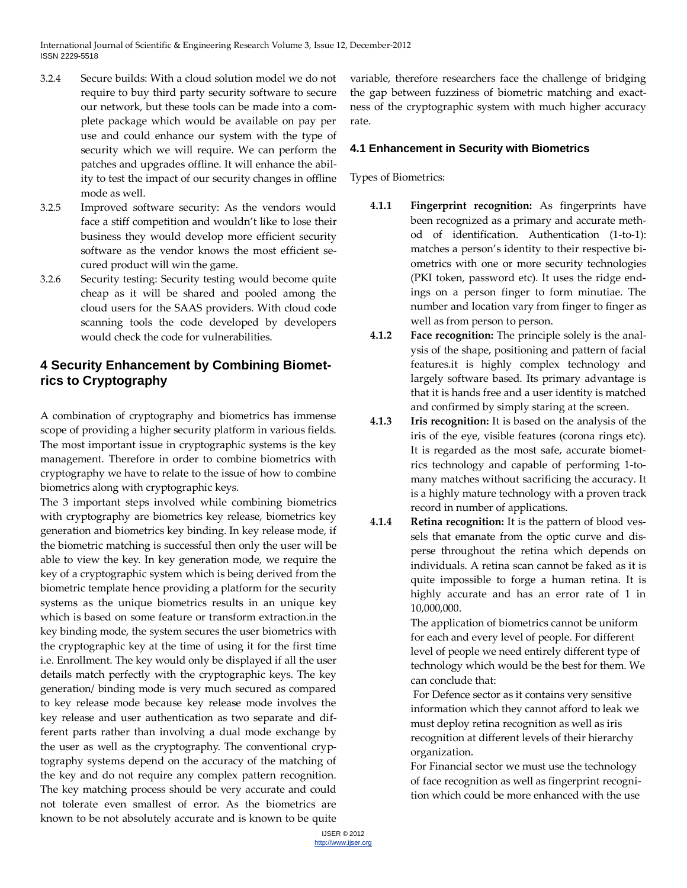International Journal of Scientific & Engineering Research Volume 3, Issue 12, December-2012 ISSN 2229-5518

- 3.2.4 Secure builds: With a cloud solution model we do not require to buy third party security software to secure our network, but these tools can be made into a complete package which would be available on pay per use and could enhance our system with the type of security which we will require. We can perform the patches and upgrades offline. It will enhance the ability to test the impact of our security changes in offline mode as well.
- 3.2.5 Improved software security: As the vendors would face a stiff competition and wouldn't like to lose their business they would develop more efficient security software as the vendor knows the most efficient secured product will win the game.
- 3.2.6 Security testing: Security testing would become quite cheap as it will be shared and pooled among the cloud users for the SAAS providers. With cloud code scanning tools the code developed by developers would check the code for vulnerabilities.

## **4 Security Enhancement by Combining Biometrics to Cryptography**

A combination of cryptography and biometrics has immense scope of providing a higher security platform in various fields. The most important issue in cryptographic systems is the key management. Therefore in order to combine biometrics with cryptography we have to relate to the issue of how to combine biometrics along with cryptographic keys.

The 3 important steps involved while combining biometrics with cryptography are biometrics key release, biometrics key generation and biometrics key binding. In key release mode, if the biometric matching is successful then only the user will be able to view the key. In key generation mode, we require the key of a cryptographic system which is being derived from the biometric template hence providing a platform for the security systems as the unique biometrics results in an unique key which is based on some feature or transform extraction.in the key binding mode, the system secures the user biometrics with the cryptographic key at the time of using it for the first time i.e. Enrollment. The key would only be displayed if all the user details match perfectly with the cryptographic keys. The key generation/ binding mode is very much secured as compared to key release mode because key release mode involves the key release and user authentication as two separate and different parts rather than involving a dual mode exchange by the user as well as the cryptography. The conventional cryptography systems depend on the accuracy of the matching of the key and do not require any complex pattern recognition. The key matching process should be very accurate and could not tolerate even smallest of error. As the biometrics are known to be not absolutely accurate and is known to be quite

variable, therefore researchers face the challenge of bridging the gap between fuzziness of biometric matching and exactness of the cryptographic system with much higher accuracy rate.

#### **4.1 Enhancement in Security with Biometrics**

Types of Biometrics:

- **4.1.1 Fingerprint recognition:** As fingerprints have been recognized as a primary and accurate method of identification. Authentication (1-to-1): matches a person's identity to their respective biometrics with one or more security technologies (PKI token, password etc). It uses the ridge endings on a person finger to form minutiae. The number and location vary from finger to finger as well as from person to person.
- **4.1.2 Face recognition:** The principle solely is the analysis of the shape, positioning and pattern of facial features.it is highly complex technology and largely software based. Its primary advantage is that it is hands free and a user identity is matched and confirmed by simply staring at the screen.
- **4.1.3 Iris recognition:** It is based on the analysis of the iris of the eye, visible features (corona rings etc). It is regarded as the most safe, accurate biometrics technology and capable of performing 1-tomany matches without sacrificing the accuracy. It is a highly mature technology with a proven track record in number of applications.
- **4.1.4 Retina recognition:** It is the pattern of blood vessels that emanate from the optic curve and disperse throughout the retina which depends on individuals. A retina scan cannot be faked as it is quite impossible to forge a human retina. It is highly accurate and has an error rate of 1 in 10,000,000.

The application of biometrics cannot be uniform for each and every level of people. For different level of people we need entirely different type of technology which would be the best for them. We can conclude that:

For Defence sector as it contains very sensitive information which they cannot afford to leak we must deploy retina recognition as well as iris recognition at different levels of their hierarchy organization.

For Financial sector we must use the technology of face recognition as well as fingerprint recognition which could be more enhanced with the use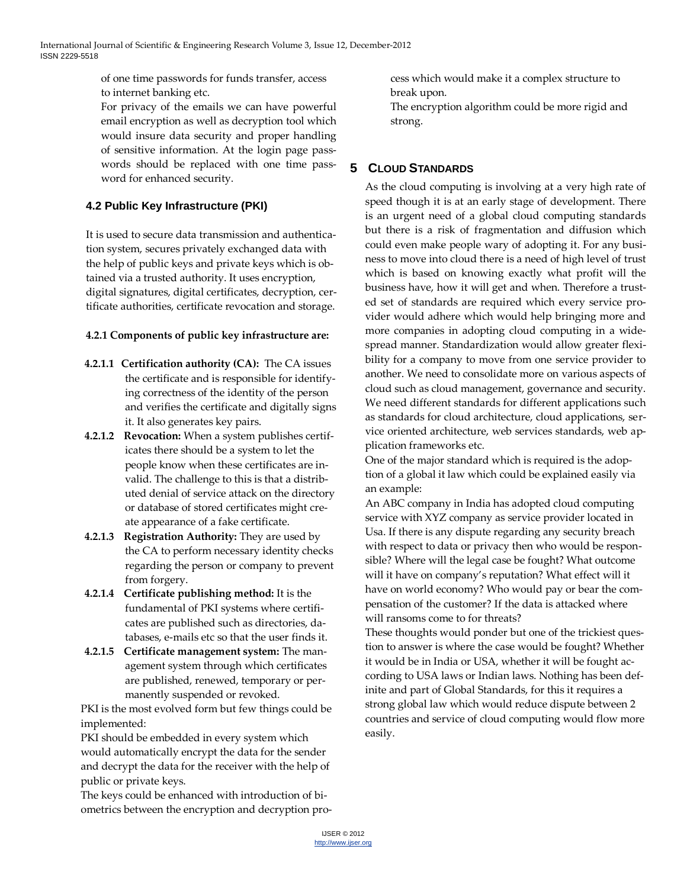of one time passwords for funds transfer, access to internet banking etc.

For privacy of the emails we can have powerful email encryption as well as decryption tool which would insure data security and proper handling of sensitive information. At the login page passwords should be replaced with one time password for enhanced security.

## **4.2 Public Key Infrastructure (PKI)**

It is used to secure data transmission and authentication system, secures privately exchanged data with the help of public keys and private keys which is obtained via a trusted authority. It uses encryption, digital signatures, digital certificates, decryption, certificate authorities, certificate revocation and storage.

#### **4.2.1 Components of public key infrastructure are:**

- **4.2.1.1 Certification authority (CA):** The CA issues the certificate and is responsible for identifying correctness of the identity of the person and verifies the certificate and digitally signs it. It also generates key pairs.
- **4.2.1.2 Revocation:** When a system publishes certificates there should be a system to let the people know when these certificates are invalid. The challenge to this is that a distributed denial of service attack on the directory or database of stored certificates might create appearance of a fake certificate.
- **4.2.1.3 Registration Authority:** They are used by the CA to perform necessary identity checks regarding the person or company to prevent from forgery.
- **4.2.1.4 Certificate publishing method:** It is the fundamental of PKI systems where certificates are published such as directories, databases, e-mails etc so that the user finds it.
- **4.2.1.5 Certificate management system:** The management system through which certificates are published, renewed, temporary or permanently suspended or revoked.

PKI is the most evolved form but few things could be implemented:

PKI should be embedded in every system which would automatically encrypt the data for the sender and decrypt the data for the receiver with the help of public or private keys.

The keys could be enhanced with introduction of biometrics between the encryption and decryption process which would make it a complex structure to break upon.

The encryption algorithm could be more rigid and strong.

## **5 CLOUD STANDARDS**

As the cloud computing is involving at a very high rate of speed though it is at an early stage of development. There is an urgent need of a global cloud computing standards but there is a risk of fragmentation and diffusion which could even make people wary of adopting it. For any business to move into cloud there is a need of high level of trust which is based on knowing exactly what profit will the business have, how it will get and when. Therefore a trusted set of standards are required which every service provider would adhere which would help bringing more and more companies in adopting cloud computing in a widespread manner. Standardization would allow greater flexibility for a company to move from one service provider to another. We need to consolidate more on various aspects of cloud such as cloud management, governance and security. We need different standards for different applications such as standards for cloud architecture, cloud applications, service oriented architecture, web services standards, web application frameworks etc.

One of the major standard which is required is the adoption of a global it law which could be explained easily via an example:

An ABC company in India has adopted cloud computing service with XYZ company as service provider located in Usa. If there is any dispute regarding any security breach with respect to data or privacy then who would be responsible? Where will the legal case be fought? What outcome will it have on company's reputation? What effect will it have on world economy? Who would pay or bear the compensation of the customer? If the data is attacked where will ransoms come to for threats?

These thoughts would ponder but one of the trickiest question to answer is where the case would be fought? Whether it would be in India or USA, whether it will be fought according to USA laws or Indian laws. Nothing has been definite and part of Global Standards, for this it requires a strong global law which would reduce dispute between 2 countries and service of cloud computing would flow more easily.